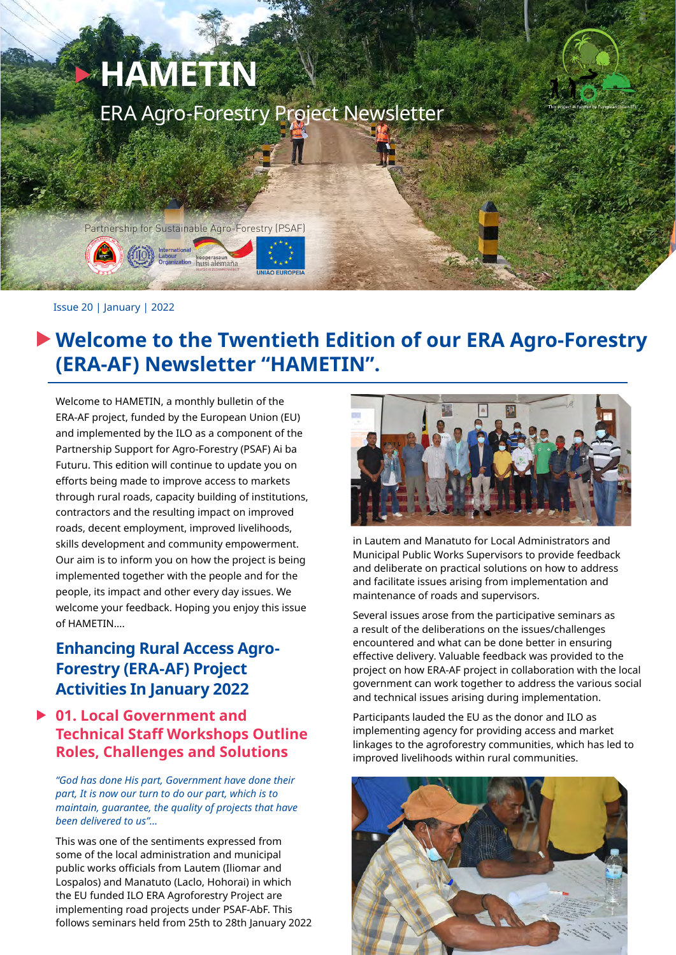# <sup>X</sup> **HAMETIN** ERA Agro-Forestry Project Newsletter

Partnership for Sustainable Agro-Forestry (PSAF)

#### Issue 20 | January | 2022

# **Welcome to the Twentieth Edition of our ERA Agro-Forestry (ERA-AF) Newsletter "HAMETIN".**

Welcome to HAMETIN, a monthly bulletin of the ERA-AF project, funded by the European Union (EU) and implemented by the ILO as a component of the Partnership Support for Agro-Forestry (PSAF) Ai ba Futuru. This edition will continue to update you on efforts being made to improve access to markets through rural roads, capacity building of institutions, contractors and the resulting impact on improved roads, decent employment, improved livelihoods, skills development and community empowerment. Our aim is to inform you on how the project is being implemented together with the people and for the people, its impact and other every day issues. We welcome your feedback. Hoping you enjoy this issue of HAMETIN….

## **Enhancing Rural Access Agro-Forestry (ERA-AF) Project Activities In January 2022**

### **01. Local Government and Technical Staff Workshops Outline Roles, Challenges and Solutions**

*"God has done His part, Government have done their part, It is now our turn to do our part, which is to maintain, guarantee, the quality of projects that have been delivered to us"…*

This was one of the sentiments expressed from some of the local administration and municipal public works officials from Lautem (Iliomar and Lospalos) and Manatuto (Laclo, Hohorai) in which the EU funded ILO ERA Agroforestry Project are implementing road projects under PSAF-AbF. This follows seminars held from 25th to 28th January 2022



in Lautem and Manatuto for Local Administrators and Municipal Public Works Supervisors to provide feedback and deliberate on practical solutions on how to address and facilitate issues arising from implementation and maintenance of roads and supervisors.

Several issues arose from the participative seminars as a result of the deliberations on the issues/challenges encountered and what can be done better in ensuring effective delivery. Valuable feedback was provided to the project on how ERA-AF project in collaboration with the local government can work together to address the various social and technical issues arising during implementation.

Participants lauded the EU as the donor and ILO as implementing agency for providing access and market linkages to the agroforestry communities, which has led to improved livelihoods within rural communities.

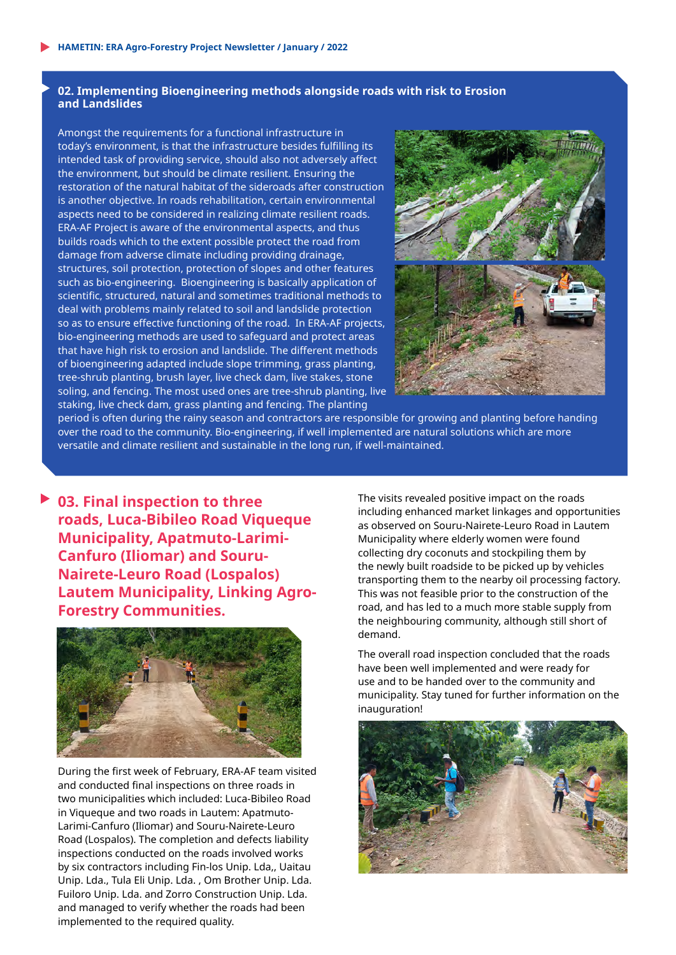#### **02. Implementing Bioengineering methods alongside roads with risk to Erosion and Landslides**

Amongst the requirements for a functional infrastructure in today's environment, is that the infrastructure besides fulfilling its intended task of providing service, should also not adversely affect the environment, but should be climate resilient. Ensuring the restoration of the natural habitat of the sideroads after construction is another objective. In roads rehabilitation, certain environmental aspects need to be considered in realizing climate resilient roads. ERA-AF Project is aware of the environmental aspects, and thus builds roads which to the extent possible protect the road from damage from adverse climate including providing drainage, structures, soil protection, protection of slopes and other features such as bio-engineering. Bioengineering is basically application of scientific, structured, natural and sometimes traditional methods to deal with problems mainly related to soil and landslide protection so as to ensure effective functioning of the road. In ERA-AF projects, bio-engineering methods are used to safeguard and protect areas that have high risk to erosion and landslide. The different methods of bioengineering adapted include slope trimming, grass planting, tree-shrub planting, brush layer, live check dam, live stakes, stone soling, and fencing. The most used ones are tree-shrub planting, live staking, live check dam, grass planting and fencing. The planting



period is often during the rainy season and contractors are responsible for growing and planting before handing over the road to the community. Bio-engineering, if well implemented are natural solutions which are more versatile and climate resilient and sustainable in the long run, if well-maintained.

**03. Final inspection to three roads, Luca-Bibileo Road Viqueque Municipality, Apatmuto-Larimi-Canfuro (Iliomar) and Souru-Nairete-Leuro Road (Lospalos) Lautem Municipality, Linking Agro-Forestry Communities.**



During the first week of February, ERA-AF team visited and conducted final inspections on three roads in two municipalities which included: Luca-Bibileo Road in Viqueque and two roads in Lautem: Apatmuto-Larimi-Canfuro (Iliomar) and Souru-Nairete-Leuro Road (Lospalos). The completion and defects liability inspections conducted on the roads involved works by six contractors including Fin-los Unip. Lda,, Uaitau Unip. Lda., Tula Eli Unip. Lda. , Om Brother Unip. Lda. Fuiloro Unip. Lda. and Zorro Construction Unip. Lda. and managed to verify whether the roads had been implemented to the required quality.

The visits revealed positive impact on the roads including enhanced market linkages and opportunities as observed on Souru-Nairete-Leuro Road in Lautem Municipality where elderly women were found collecting dry coconuts and stockpiling them by the newly built roadside to be picked up by vehicles transporting them to the nearby oil processing factory. This was not feasible prior to the construction of the road, and has led to a much more stable supply from the neighbouring community, although still short of demand.

The overall road inspection concluded that the roads have been well implemented and were ready for use and to be handed over to the community and municipality. Stay tuned for further information on the inauguration!